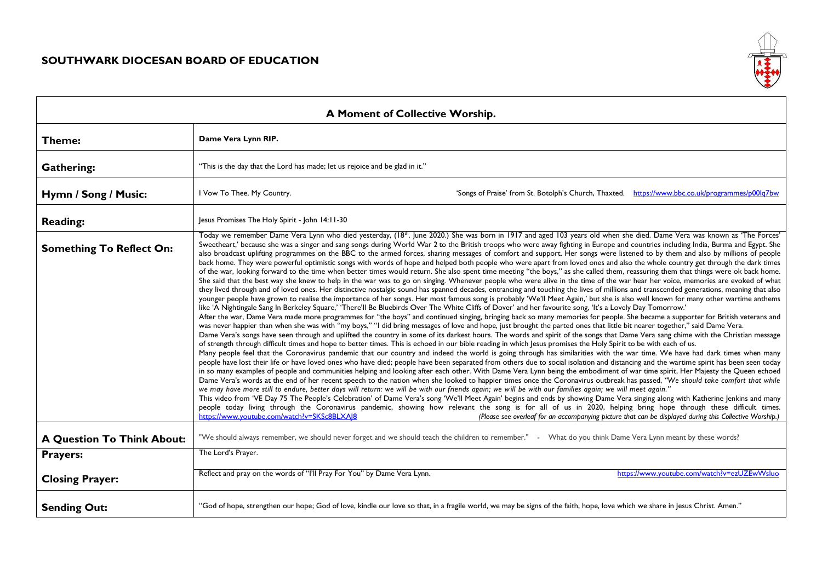